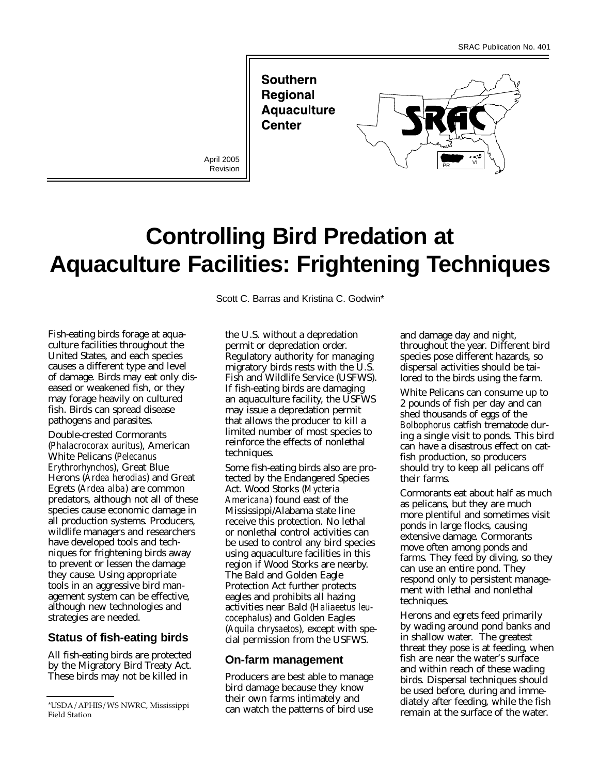**Southern Regional Aquaculture Center** 

Revision



# **Controlling Bird Predation at Aquaculture Facilities: Frightening Techniques**

Fish-eating birds forage at aquaculture facilities throughout the United States, and each species causes a different type and level of damage. Birds may eat only diseased or weakened fish, or they may forage heavily on cultured fish. Birds can spread disease pathogens and parasites.

Double-crested Cormorants (*Phalacrocorax auritus*), American White Pelicans (*Pelecanus Erythrorhynchos*), Great Blue Herons (*Ardea herodias*) and Great Egrets (*Ardea alba*) are common predators, although not all of these species cause economic damage in all production systems. Producers, wildlife managers and researchers have developed tools and techniques for frightening birds away to prevent or lessen the damage they cause. Using appropriate tools in an aggressive bird management system can be effective, although new technologies and strategies are needed.

# **Status of fish-eating birds**

All fish-eating birds are protected by the Migratory Bird Treaty Act. These birds may not be killed in

Scott C. Barras and Kristina C. Godwin\*

the U.S. without a depredation permit or depredation order. Regulatory authority for managing migratory birds rests with the U.S. Fish and Wildlife Service (USFWS). If fish-eating birds are damaging an aquaculture facility, the USFWS may issue a depredation permit that allows the producer to kill a limited number of most species to reinforce the effects of nonlethal techniques.

Some fish-eating birds also are protected by the Endangered Species Act. Wood Storks (*Mycteria Americana*) found east of the Mississippi/Alabama state line receive this protection. No lethal or nonlethal control activities can be used to control any bird species using aquaculture facilities in this region if Wood Storks are nearby. The Bald and Golden Eagle Protection Act further protects eagles and prohibits all hazing activities near Bald (*Haliaeetus leucocephalus*) and Golden Eagles (*Aquila chrysaetos*), except with special permission from the USFWS.

## **On-farm management**

Producers are best able to manage bird damage because they know their own farms intimately and can watch the patterns of bird use

and damage day and night, throughout the year. Different bird species pose different hazards, so dispersal activities should be tailored to the birds using the farm.

White Pelicans can consume up to 2 pounds of fish per day and can shed thousands of eggs of the *Bolbophorus* catfish trematode during a single visit to ponds. This bird can have a disastrous effect on catfish production, so producers should try to keep all pelicans off their farms.

Cormorants eat about half as much as pelicans, but they are much more plentiful and sometimes visit ponds in large flocks, causing extensive damage. Cormorants move often among ponds and farms. They feed by diving, so they can use an entire pond. They respond only to persistent management with lethal and nonlethal techniques.

Herons and egrets feed primarily by wading around pond banks and in shallow water. The greatest threat they pose is at feeding, when fish are near the water's surface and within reach of these wading birds. Dispersal techniques should be used before, during and immediately after feeding, while the fish remain at the surface of the water.

<sup>\*</sup>USDA/APHIS/WS NWRC, Mississippi Field Station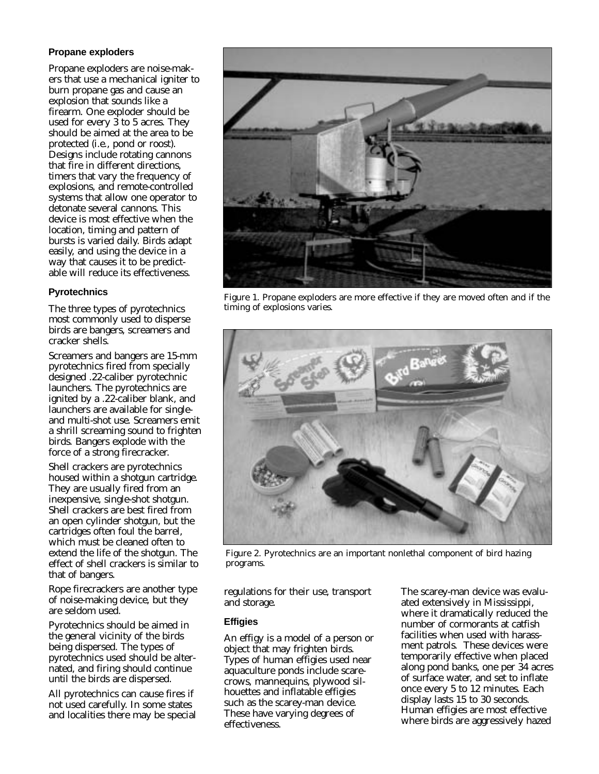### **Propane exploders**

Propane exploders are noise-makers that use a mechanical igniter to burn propane gas and cause an explosion that sounds like a firearm. One exploder should be used for every 3 to 5 acres. They should be aimed at the area to be protected (i.e., pond or roost). Designs include rotating cannons that fire in different directions, timers that vary the frequency of explosions, and remote-controlled systems that allow one operator to detonate several cannons. This device is most effective when the location, timing and pattern of bursts is varied daily. Birds adapt easily, and using the device in a way that causes it to be predictable will reduce its effectiveness.

## **Pyrotechnics**

The three types of pyrotechnics most commonly used to disperse birds are bangers, screamers and cracker shells.

Screamers and bangers are 15-mm pyrotechnics fired from specially designed .22-caliber pyrotechnic launchers. The pyrotechnics are ignited by a .22-caliber blank, and launchers are available for singleand multi-shot use. Screamers emit a shrill screaming sound to frighten birds. Bangers explode with the force of a strong firecracker.

Shell crackers are pyrotechnics housed within a shotgun cartridge. They are usually fired from an inexpensive, single-shot shotgun. Shell crackers are best fired from an open cylinder shotgun, but the cartridges often foul the barrel, which must be cleaned often to extend the life of the shotgun. The effect of shell crackers is similar to that of bangers.

Rope firecrackers are another type of noise-making device, but they are seldom used.

Pyrotechnics should be aimed in the general vicinity of the birds being dispersed. The types of pyrotechnics used should be alternated, and firing should continue until the birds are dispersed.

All pyrotechnics can cause fires if not used carefully. In some states and localities there may be special



Figure 1. Propane exploders are more effective if they are moved often and if the timing of explosions varies.



Figure 2. Pyrotechnics are an important nonlethal component of bird hazing programs.

regulations for their use, transport and storage.

#### **Effigies**

An effigy is a model of a person or object that may frighten birds. Types of human effigies used near aquaculture ponds include scarecrows, mannequins, plywood silhouettes and inflatable effigies such as the scarey-man device. These have varying degrees of effectiveness.

The scarey-man device was evaluated extensively in Mississippi, where it dramatically reduced the number of cormorants at catfish facilities when used with harassment patrols. These devices were temporarily effective when placed along pond banks, one per 34 acres of surface water, and set to inflate once every 5 to 12 minutes. Each display lasts 15 to 30 seconds. Human effigies are most effective where birds are aggressively hazed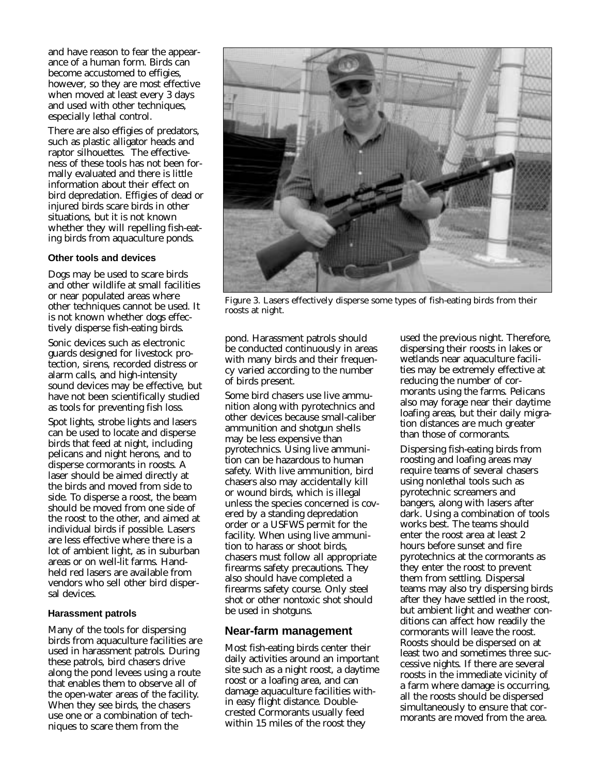and have reason to fear the appearance of a human form. Birds can become accustomed to effigies, however, so they are most effective when moved at least every 3 days and used with other techniques, especially lethal control.

There are also effigies of predators, such as plastic alligator heads and raptor silhouettes. The effectiveness of these tools has not been formally evaluated and there is little information about their effect on bird depredation. Effigies of dead or injured birds scare birds in other situations, but it is not known whether they will repelling fish-eating birds from aquaculture ponds.

#### **Other tools and devices**

Dogs may be used to scare birds and other wildlife at small facilities or near populated areas where other techniques cannot be used. It is not known whether dogs effectively disperse fish-eating birds.

Sonic devices such as electronic guards designed for livestock protection, sirens, recorded distress or alarm calls, and high-intensity sound devices may be effective, but have not been scientifically studied as tools for preventing fish loss.

Spot lights, strobe lights and lasers can be used to locate and disperse birds that feed at night, including pelicans and night herons, and to disperse cormorants in roosts. A laser should be aimed directly at the birds and moved from side to side. To disperse a roost, the beam should be moved from one side of the roost to the other, and aimed at individual birds if possible. Lasers are less effective where there is a lot of ambient light, as in suburban areas or on well-lit farms. Handheld red lasers are available from vendors who sell other bird dispersal devices.

#### **Harassment patrols**

Many of the tools for dispersing birds from aquaculture facilities are used in harassment patrols. During these patrols, bird chasers drive along the pond levees using a route that enables them to observe all of the open-water areas of the facility. When they see birds, the chasers use one or a combination of techniques to scare them from the



Figure 3. Lasers effectively disperse some types of fish-eating birds from their roosts at night.

pond. Harassment patrols should be conducted continuously in areas with many birds and their frequency varied according to the number of birds present.

Some bird chasers use live ammunition along with pyrotechnics and other devices because small-caliber ammunition and shotgun shells may be less expensive than pyrotechnics. Using live ammunition can be hazardous to human safety. With live ammunition, bird chasers also may accidentally kill or wound birds, which is illegal unless the species concerned is covered by a standing depredation order or a USFWS permit for the facility. When using live ammunition to harass or shoot birds, chasers must follow all appropriate firearms safety precautions. They also should have completed a firearms safety course. Only steel shot or other nontoxic shot should be used in shotguns.

## **Near-farm management**

Most fish-eating birds center their daily activities around an important site such as a night roost, a daytime roost or a loafing area, and can damage aquaculture facilities within easy flight distance. Doublecrested Cormorants usually feed within 15 miles of the roost they

used the previous night. Therefore, dispersing their roosts in lakes or wetlands near aquaculture facilities may be extremely effective at reducing the number of cormorants using the farms. Pelicans also may forage near their daytime loafing areas, but their daily migration distances are much greater than those of cormorants.

Dispersing fish-eating birds from roosting and loafing areas may require teams of several chasers using nonlethal tools such as pyrotechnic screamers and bangers, along with lasers after dark. Using a combination of tools works best. The teams should enter the roost area at least 2 hours before sunset and fire pyrotechnics at the cormorants as they enter the roost to prevent them from settling. Dispersal teams may also try dispersing birds after they have settled in the roost, but ambient light and weather conditions can affect how readily the cormorants will leave the roost. Roosts should be dispersed on at least two and sometimes three successive nights. If there are several roosts in the immediate vicinity of a farm where damage is occurring, all the roosts should be dispersed simultaneously to ensure that cormorants are moved from the area.